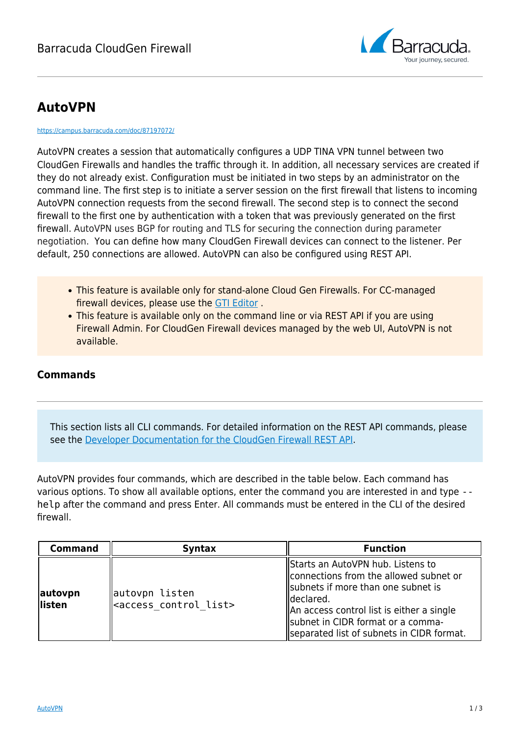

# **AutoVPN**

#### <https://campus.barracuda.com/doc/87197072/>

AutoVPN creates a session that automatically configures a UDP TINA VPN tunnel between two CloudGen Firewalls and handles the traffic through it. In addition, all necessary services are created if they do not already exist. Configuration must be initiated in two steps by an administrator on the command line. The first step is to initiate a server session on the first firewall that listens to incoming AutoVPN connection requests from the second firewall. The second step is to connect the second firewall to the first one by authentication with a token that was previously generated on the first firewall. AutoVPN uses BGP for routing and TLS for securing the connection during parameter negotiation. You can define how many CloudGen Firewall devices can connect to the listener. Per default, 250 connections are allowed. AutoVPN can also be configured using REST API.

- This feature is available only for stand-alone Cloud Gen Firewalls. For CC-managed firewall devices, please use the [GTI Editor](http://campus.barracuda.com/doc/79463181/) .
- This feature is available only on the command line or via REST API if you are using Firewall Admin. For CloudGen Firewall devices managed by the web UI, AutoVPN is not available.

## **Commands**

This section lists all CLI commands. For detailed information on the REST API commands, please see the [Developer Documentation for the CloudGen Firewall REST API](http://campus.barracuda.com/product/nextgenfirewallf/api).

AutoVPN provides four commands, which are described in the table below. Each command has various options. To show all available options, enter the command you are interested in and type - help after the command and press Enter. All commands must be entered in the CLI of the desired firewall.

| <b>Command</b>     | <b>Syntax</b>                                          | <b>Function</b>                                                                                                                                                                                                                                                 |
|--------------------|--------------------------------------------------------|-----------------------------------------------------------------------------------------------------------------------------------------------------------------------------------------------------------------------------------------------------------------|
| autovpn<br>llisten | autovpn listen<br><access control="" list=""></access> | Starts an AutoVPN hub. Listens to<br>connections from the allowed subnet or<br>subnets if more than one subnet is<br>lldeclared.<br>An access control list is either a single<br>subnet in CIDR format or a comma-<br>Separated list of subnets in CIDR format. |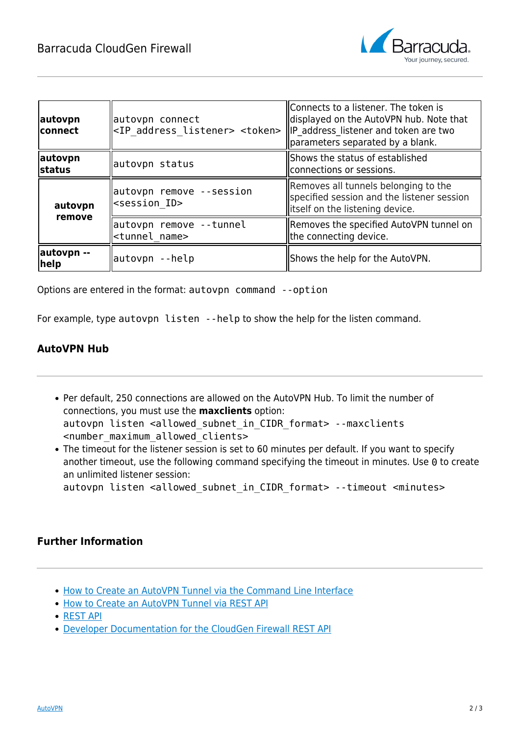

| autovpn<br>connect       | autovpn connect<br><ip address="" listener=""> <token></token></ip> | Connects to a listener. The token is<br>displayed on the AutoVPN hub. Note that<br> IP_address_listener and token are two<br>parameters separated by a blank. |
|--------------------------|---------------------------------------------------------------------|---------------------------------------------------------------------------------------------------------------------------------------------------------------|
| autovpn<br><b>status</b> | autovpn status                                                      | Shows the status of established<br>connections or sessions.                                                                                                   |
| autovpn<br>remove        | autovpn remove --session<br>$\mid$ <session id=""></session>        | Removes all tunnels belonging to the<br>specified session and the listener session<br>litself on the listening device.                                        |
|                          | autovpn remove --tunnel <br><tunnel name=""></tunnel>               | Removes the specified AutoVPN tunnel on<br>the connecting device.                                                                                             |
| autovpn --<br> help      | autovpn --help                                                      | Shows the help for the AutoVPN.                                                                                                                               |

Options are entered in the format: autovpn command --option

For example, type autovpn listen --help to show the help for the listen command.

## **AutoVPN Hub**

- Per default, 250 connections are allowed on the AutoVPN Hub. To limit the number of connections, you must use the **maxclients** option: autovpn listen <allowed\_subnet\_in\_CIDR\_format> --maxclients <number\_maximum\_allowed\_clients>
- The timeout for the listener session is set to 60 minutes per default. If you want to specify another timeout, use the following command specifying the timeout in minutes. Use 0 to create an unlimited listener session: autovpn listen <allowed subnet in CIDR format> --timeout <minutes>

### **Further Information**

- [How to Create an AutoVPN Tunnel via the Command Line Interface](http://campus.barracuda.com/doc/87785508/)
- [How to Create an AutoVPN Tunnel via REST API](http://campus.barracuda.com/doc/87785550/)
- **[REST API](http://campus.barracuda.com/doc/79462646/)**
- [Developer Documentation for the CloudGen Firewall REST API](http://campus.barracuda.com/product/nextgenfirewallf/api)